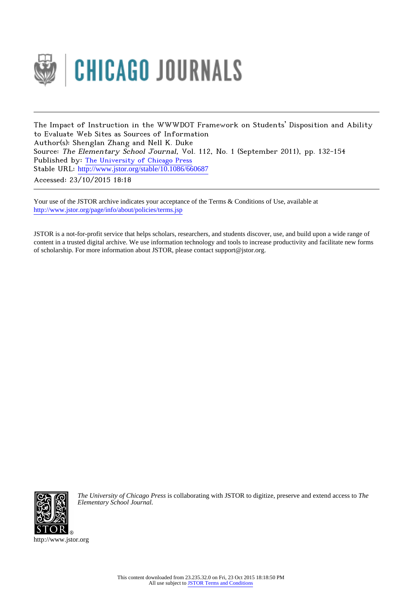

The Impact of Instruction in the WWWDOT Framework on Students' Disposition and Ability to Evaluate Web Sites as Sources of Information Author(s): Shenglan Zhang and Nell K. Duke Source: The Elementary School Journal, Vol. 112, No. 1 (September 2011), pp. 132-154 Published by: [The University of Chicago Press](http://www.jstor.org/action/showPublisher?publisherCode=ucpress) Stable URL: http://www.jstor.org/stable/10.1086/660687 Accessed: 23/10/2015 18:18

Your use of the JSTOR archive indicates your acceptance of the Terms & Conditions of Use, available at <http://www.jstor.org/page/info/about/policies/terms.jsp>

JSTOR is a not-for-profit service that helps scholars, researchers, and students discover, use, and build upon a wide range of content in a trusted digital archive. We use information technology and tools to increase productivity and facilitate new forms of scholarship. For more information about JSTOR, please contact support@jstor.org.



*The University of Chicago Press* is collaborating with JSTOR to digitize, preserve and extend access to *The Elementary School Journal.*

http://www.jstor.org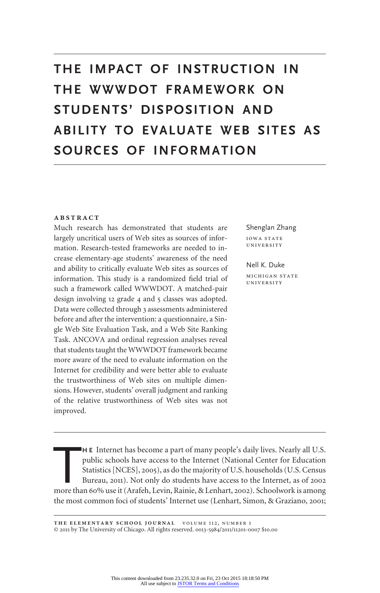# **THE IMPACT OF INSTRUCTION IN THE WWWDOT FRAMEWORK ON STUDENTS' DISPOSITION AND ABILITY TO EVALUATE WEB SITES AS SOURCES OF INFORMATION**

#### **ABSTRACT**

Much research has demonstrated that students are largely uncritical users of Web sites as sources of information. Research-tested frameworks are needed to increase elementary-age students' awareness of the need and ability to critically evaluate Web sites as sources of information. This study is a randomized field trial of such a framework called WWWDOT. A matched-pair design involving 12 grade 4 and 5 classes was adopted. Data were collected through 3 assessments administered before and after the intervention: a questionnaire, a Single Web Site Evaluation Task, and a Web Site Ranking Task. ANCOVA and ordinal regression analyses reveal that students taught the WWWDOT framework became more aware of the need to evaluate information on the Internet for credibility and were better able to evaluate the trustworthiness of Web sites on multiple dimensions. However, students' overall judgment and ranking of the relative trustworthiness of Web sites was not improved.

Shenglan Zhang

**IOWA STATE** UNIVERSITY

Nell K. Duke MICHIGAN STATE UNIVERSITY

H E Internet has become a part of many people's daily lives. Nearly all U.S.<br>public schools have access to the Internet (National Center for Education<br>Statistics [NCES], 2005), as do the majority of U.S. households (U.S. C **H E** Internet has become a part of many people's daily lives. Nearly all U.S. public schools have access to the Internet (National Center for Education Statistics [NCES], 2005), as do the majority of U.S. households (U.S. Census Bureau, 2011). Not only do students have access to the Internet, as of 2002 the most common foci of students' Internet use (Lenhart, Simon, & Graziano, 2001;

THE ELEMENTARY SCHOOL JOURNAL VOLUME 112, NUMBER 1 © 2011 by The University of Chicago. All rights reserved. 0013-5984/2011/11201-0007 \$10.00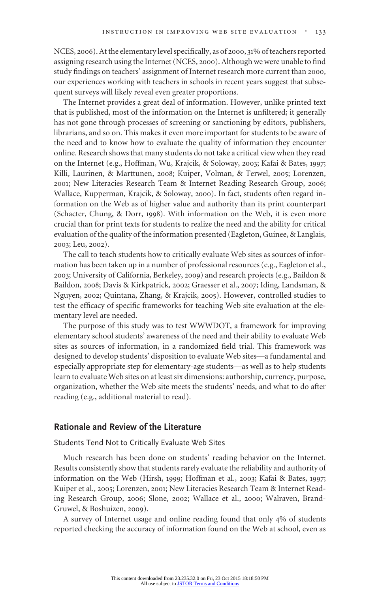NCES, 2006). At the elementary level specifically, as of 2000, 31% of teachers reported assigning research using the Internet (NCES, 2000). Although we were unable to find study findings on teachers' assignment of Internet research more current than 2000, our experiences working with teachers in schools in recent years suggest that subsequent surveys will likely reveal even greater proportions.

The Internet provides a great deal of information. However, unlike printed text that is published, most of the information on the Internet is unfiltered; it generally has not gone through processes of screening or sanctioning by editors, publishers, librarians, and so on. This makes it even more important for students to be aware of the need and to know how to evaluate the quality of information they encounter online. Research shows that many students do not take a critical view when they read on the Internet (e.g., Hoffman, Wu, Krajcik, & Soloway, 2003; Kafai & Bates, 1997; Killi, Laurinen, & Marttunen, 2008; Kuiper, Volman, & Terwel, 2005; Lorenzen, 2001; New Literacies Research Team & Internet Reading Research Group, 2006; Wallace, Kupperman, Krajcik, & Soloway, 2000). In fact, students often regard information on the Web as of higher value and authority than its print counterpart (Schacter, Chung, & Dorr, 1998). With information on the Web, it is even more crucial than for print texts for students to realize the need and the ability for critical evaluation of the quality of the information presented (Eagleton, Guinee, & Langlais, 2003; Leu, 2002).

The call to teach students how to critically evaluate Web sites as sources of information has been taken up in a number of professional resources (e.g., Eagleton et al., 2003; University of California, Berkeley, 2009) and research projects (e.g., Baildon & Baildon, 2008; Davis & Kirkpatrick, 2002; Graesser et al., 2007; Iding, Landsman, & Nguyen, 2002; Quintana, Zhang, & Krajcik, 2005). However, controlled studies to test the efficacy of specific frameworks for teaching Web site evaluation at the elementary level are needed.

The purpose of this study was to test WWWDOT, a framework for improving elementary school students' awareness of the need and their ability to evaluate Web sites as sources of information, in a randomized field trial. This framework was designed to develop students' disposition to evaluate Web sites—a fundamental and especially appropriate step for elementary-age students—as well as to help students learn to evaluate Web sites on at least six dimensions: authorship, currency, purpose, organization, whether the Web site meets the students' needs, and what to do after reading (e.g., additional material to read).

# **Rationale and Review of the Literature**

Students Tend Not to Critically Evaluate Web Sites

Much research has been done on students' reading behavior on the Internet. Results consistently show that students rarely evaluate the reliability and authority of information on the Web (Hirsh, 1999; Hoffman et al., 2003; Kafai & Bates, 1997; Kuiper et al., 2005; Lorenzen, 2001; New Literacies Research Team & Internet Reading Research Group, 2006; Slone, 2002; Wallace et al., 2000; Walraven, Brand-Gruwel, & Boshuizen, 2009).

A survey of Internet usage and online reading found that only 4% of students reported checking the accuracy of information found on the Web at school, even as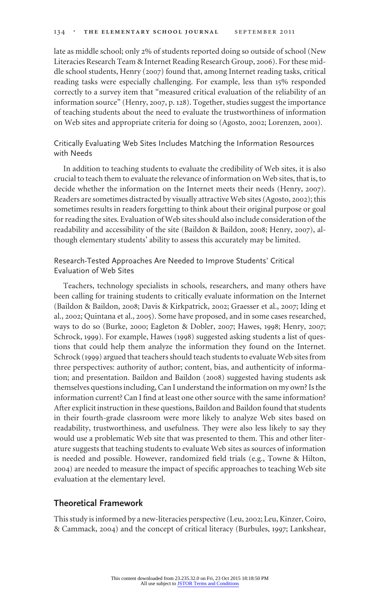late as middle school; only 2% of students reported doing so outside of school (New Literacies Research Team & Internet Reading Research Group, 2006). For these middle school students, Henry (2007) found that, among Internet reading tasks, critical reading tasks were especially challenging. For example, less than 15% responded correctly to a survey item that "measured critical evaluation of the reliability of an information source" (Henry, 2007, p. 128). Together, studies suggest the importance of teaching students about the need to evaluate the trustworthiness of information on Web sites and appropriate criteria for doing so (Agosto, 2002; Lorenzen, 2001).

# Critically Evaluating Web Sites Includes Matching the Information Resources with Needs

In addition to teaching students to evaluate the credibility of Web sites, it is also crucial to teach them to evaluate the relevance of information on Web sites, that is, to decide whether the information on the Internet meets their needs (Henry, 2007). Readers are sometimes distracted by visually attractive Web sites (Agosto, 2002); this sometimes results in readers forgetting to think about their original purpose or goal for reading the sites. Evaluation of Web sites should also include consideration of the readability and accessibility of the site (Baildon & Baildon, 2008; Henry, 2007), although elementary students' ability to assess this accurately may be limited.

# Research-Tested Approaches Are Needed to Improve Students' Critical Evaluation of Web Sites

Teachers, technology specialists in schools, researchers, and many others have been calling for training students to critically evaluate information on the Internet (Baildon & Baildon, 2008; Davis & Kirkpatrick, 2002; Graesser et al., 2007; Iding et al., 2002; Quintana et al., 2005). Some have proposed, and in some cases researched, ways to do so (Burke, 2000; Eagleton & Dobler, 2007; Hawes, 1998; Henry, 2007; Schrock, 1999). For example, Hawes (1998) suggested asking students a list of questions that could help them analyze the information they found on the Internet. Schrock (1999) argued that teachers should teach students to evaluate Web sites from three perspectives: authority of author; content, bias, and authenticity of information; and presentation. Baildon and Baildon (2008) suggested having students ask themselves questions including, Can I understand the information on my own? Is the information current? Can I find at least one other source with the same information? After explicit instruction in these questions, Baildon and Baildon found that students in their fourth-grade classroom were more likely to analyze Web sites based on readability, trustworthiness, and usefulness. They were also less likely to say they would use a problematic Web site that was presented to them. This and other literature suggests that teaching students to evaluate Web sites as sources of information is needed and possible. However, randomized field trials (e.g., Towne & Hilton, 2004) are needed to measure the impact of specific approaches to teaching Web site evaluation at the elementary level.

# **Theoretical Framework**

This study is informed by a new-literacies perspective (Leu, 2002; Leu, Kinzer, Coiro, & Cammack, 2004) and the concept of critical literacy (Burbules, 1997; Lankshear,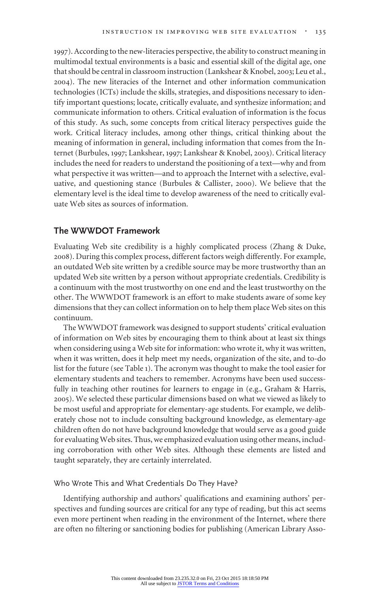1997). According to the new-literacies perspective, the ability to construct meaning in multimodal textual environments is a basic and essential skill of the digital age, one that should be central in classroom instruction (Lankshear & Knobel, 2003; Leu et al., 2004). The new literacies of the Internet and other information communication technologies (ICTs) include the skills, strategies, and dispositions necessary to identify important questions; locate, critically evaluate, and synthesize information; and communicate information to others. Critical evaluation of information is the focus of this study. As such, some concepts from critical literacy perspectives guide the work. Critical literacy includes, among other things, critical thinking about the meaning of information in general, including information that comes from the Internet (Burbules, 1997; Lankshear, 1997; Lankshear & Knobel, 2003). Critical literacy includes the need for readers to understand the positioning of a text—why and from what perspective it was written—and to approach the Internet with a selective, evaluative, and questioning stance (Burbules & Callister, 2000). We believe that the elementary level is the ideal time to develop awareness of the need to critically evaluate Web sites as sources of information.

# **The WWWDOT Framework**

Evaluating Web site credibility is a highly complicated process (Zhang & Duke, 2008). During this complex process, different factors weigh differently. For example, an outdated Web site written by a credible source may be more trustworthy than an updated Web site written by a person without appropriate credentials. Credibility is a continuum with the most trustworthy on one end and the least trustworthy on the other. The WWWDOT framework is an effort to make students aware of some key dimensions that they can collect information on to help them place Web sites on this continuum.

The WWWDOT framework was designed to support students' critical evaluation of information on Web sites by encouraging them to think about at least six things when considering using a Web site for information: who wrote it, why it was written, when it was written, does it help meet my needs, organization of the site, and to-do list for the future (see Table 1). The acronym was thought to make the tool easier for elementary students and teachers to remember. Acronyms have been used successfully in teaching other routines for learners to engage in (e.g., Graham & Harris, 2005). We selected these particular dimensions based on what we viewed as likely to be most useful and appropriate for elementary-age students. For example, we deliberately chose not to include consulting background knowledge, as elementary-age children often do not have background knowledge that would serve as a good guide for evaluating Web sites. Thus, we emphasized evaluation using other means, including corroboration with other Web sites. Although these elements are listed and taught separately, they are certainly interrelated.

## Who Wrote This and What Credentials Do They Have?

Identifying authorship and authors' qualifications and examining authors' perspectives and funding sources are critical for any type of reading, but this act seems even more pertinent when reading in the environment of the Internet, where there are often no filtering or sanctioning bodies for publishing (American Library Asso-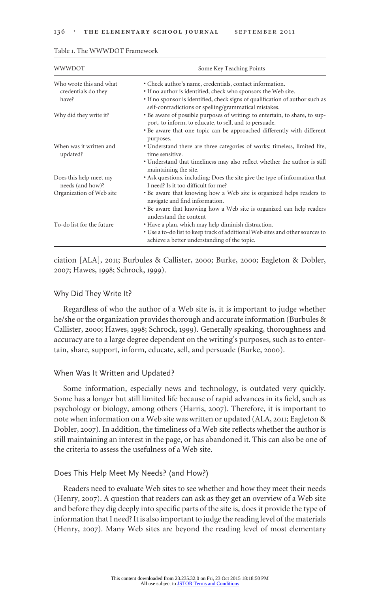| WWWDOT                                                  | Some Key Teaching Points                                                                                                                                                                                                                                             |  |  |
|---------------------------------------------------------|----------------------------------------------------------------------------------------------------------------------------------------------------------------------------------------------------------------------------------------------------------------------|--|--|
| Who wrote this and what<br>credentials do they<br>have? | • Check author's name, credentials, contact information.<br>• If no author is identified, check who sponsors the Web site.<br>• If no sponsor is identified, check signs of qualification of author such as<br>self-contradictions or spelling/grammatical mistakes. |  |  |
| Why did they write it?                                  | • Be aware of possible purposes of writing: to entertain, to share, to sup-<br>port, to inform, to educate, to sell, and to persuade.<br>• Be aware that one topic can be approached differently with different                                                      |  |  |
| When was it written and<br>updated?                     | purposes.<br>• Understand there are three categories of works: timeless, limited life,<br>time sensitive.                                                                                                                                                            |  |  |
|                                                         | • Understand that timeliness may also reflect whether the author is still<br>maintaining the site.                                                                                                                                                                   |  |  |
| Does this help meet my<br>needs (and how)?              | • Ask questions, including: Does the site give the type of information that<br>I need? Is it too difficult for me?                                                                                                                                                   |  |  |
| Organization of Web site                                | • Be aware that knowing how a Web site is organized helps readers to<br>navigate and find information.                                                                                                                                                               |  |  |
|                                                         | • Be aware that knowing how a Web site is organized can help readers<br>understand the content                                                                                                                                                                       |  |  |
| To-do list for the future                               | • Have a plan, which may help diminish distraction.<br>• Use a to-do list to keep track of additional Web sites and other sources to<br>achieve a better understanding of the topic.                                                                                 |  |  |

#### Table 1. The WWWDOT Framework

ciation [ALA], 2011; Burbules & Callister, 2000; Burke, 2000; Eagleton & Dobler, 2007; Hawes, 1998; Schrock, 1999).

#### Why Did They Write It?

Regardless of who the author of a Web site is, it is important to judge whether he/she or the organization provides thorough and accurate information (Burbules & Callister, 2000; Hawes, 1998; Schrock, 1999). Generally speaking, thoroughness and accuracy are to a large degree dependent on the writing's purposes, such as to entertain, share, support, inform, educate, sell, and persuade (Burke, 2000).

#### When Was It Written and Updated?

Some information, especially news and technology, is outdated very quickly. Some has a longer but still limited life because of rapid advances in its field, such as psychology or biology, among others (Harris, 2007). Therefore, it is important to note when information on a Web site was written or updated (ALA, 2011; Eagleton & Dobler, 2007). In addition, the timeliness of a Web site reflects whether the author is still maintaining an interest in the page, or has abandoned it. This can also be one of the criteria to assess the usefulness of a Web site.

## Does This Help Meet My Needs? (and How?)

Readers need to evaluate Web sites to see whether and how they meet their needs (Henry, 2007). A question that readers can ask as they get an overview of a Web site and before they dig deeply into specific parts of the site is, does it provide the type of information that I need? It is also important to judge the reading level of the materials (Henry, 2007). Many Web sites are beyond the reading level of most elementary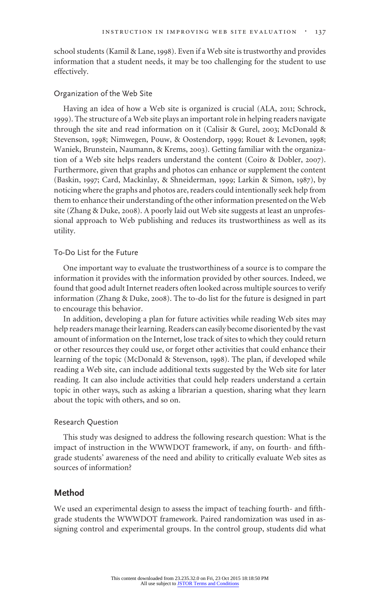school students (Kamil & Lane, 1998). Even if a Web site is trustworthy and provides information that a student needs, it may be too challenging for the student to use effectively.

## Organization of the Web Site

Having an idea of how a Web site is organized is crucial (ALA, 2011; Schrock, 1999). The structure of a Web site plays an important role in helping readers navigate through the site and read information on it (Calisir & Gurel, 2003; McDonald & Stevenson, 1998; Nimwegen, Pouw, & Oostendorp, 1999; Rouet & Levonen, 1998; Waniek, Brunstein, Naumann, & Krems, 2003). Getting familiar with the organization of a Web site helps readers understand the content (Coiro & Dobler, 2007). Furthermore, given that graphs and photos can enhance or supplement the content (Baskin, 1997; Card, Mackinlay, & Shneiderman, 1999; Larkin & Simon, 1987), by noticing where the graphs and photos are, readers could intentionally seek help from them to enhance their understanding of the other information presented on the Web site (Zhang & Duke, 2008). A poorly laid out Web site suggests at least an unprofessional approach to Web publishing and reduces its trustworthiness as well as its utility.

#### To-Do List for the Future

One important way to evaluate the trustworthiness of a source is to compare the information it provides with the information provided by other sources. Indeed, we found that good adult Internet readers often looked across multiple sources to verify information (Zhang & Duke, 2008). The to-do list for the future is designed in part to encourage this behavior.

In addition, developing a plan for future activities while reading Web sites may help readers manage their learning. Readers can easily become disoriented by the vast amount of information on the Internet, lose track of sites to which they could return or other resources they could use, or forget other activities that could enhance their learning of the topic (McDonald & Stevenson, 1998). The plan, if developed while reading a Web site, can include additional texts suggested by the Web site for later reading. It can also include activities that could help readers understand a certain topic in other ways, such as asking a librarian a question, sharing what they learn about the topic with others, and so on.

## Research Question

This study was designed to address the following research question: What is the impact of instruction in the WWWDOT framework, if any, on fourth- and fifthgrade students' awareness of the need and ability to critically evaluate Web sites as sources of information?

# **Method**

We used an experimental design to assess the impact of teaching fourth- and fifthgrade students the WWWDOT framework. Paired randomization was used in assigning control and experimental groups. In the control group, students did what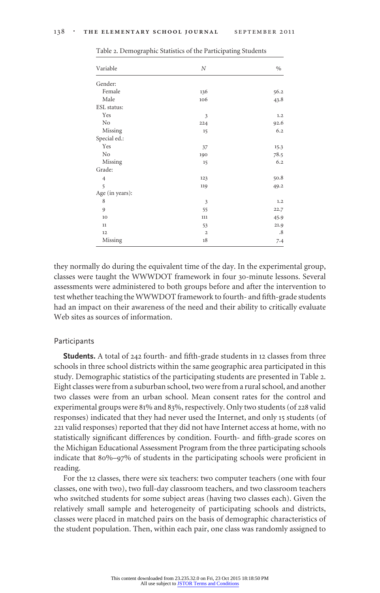| Variable        | N              | $\%$ |  |
|-----------------|----------------|------|--|
| Gender:         |                |      |  |
| Female          | 136            | 56.2 |  |
| Male            | 106            | 43.8 |  |
| ESL status:     |                |      |  |
| Yes             | 3              | 1.2  |  |
| No              | 224            | 92.6 |  |
| Missing         | 15             | 6.2  |  |
| Special ed.:    |                |      |  |
| Yes             | 37             | 15.3 |  |
| No              | 190            | 78.5 |  |
| Missing         | 15             | 6.2  |  |
| Grade:          |                |      |  |
| $\overline{4}$  | 123            | 50.8 |  |
| 5               | 119            | 49.2 |  |
| Age (in years): |                |      |  |
| 8               | 3              | 1.2  |  |
| 9               | 55             | 22.7 |  |
| 10              | 111            | 45.9 |  |
| $11\,$          | 53             | 21.9 |  |
| 12              | $\overline{2}$ | .8   |  |
| Missing         | 18             | 7.4  |  |

Table 2. Demographic Statistics of the Participating Students

they normally do during the equivalent time of the day. In the experimental group, classes were taught the WWWDOT framework in four 30-minute lessons. Several assessments were administered to both groups before and after the intervention to test whether teaching the WWWDOT framework to fourth- and fifth-grade students had an impact on their awareness of the need and their ability to critically evaluate Web sites as sources of information.

#### Participants

**Students.** A total of 242 fourth- and fifth-grade students in 12 classes from three schools in three school districts within the same geographic area participated in this study. Demographic statistics of the participating students are presented in Table 2. Eight classes were from a suburban school, two were from a rural school, and another two classes were from an urban school. Mean consent rates for the control and experimental groups were 81% and 83%, respectively. Only two students (of 228 valid responses) indicated that they had never used the Internet, and only 15 students (of 221 valid responses) reported that they did not have Internet access at home, with no statistically significant differences by condition. Fourth- and fifth-grade scores on the Michigan Educational Assessment Program from the three participating schools indicate that 80%–97% of students in the participating schools were proficient in reading.

For the 12 classes, there were six teachers: two computer teachers (one with four classes, one with two), two full-day classroom teachers, and two classroom teachers who switched students for some subject areas (having two classes each). Given the relatively small sample and heterogeneity of participating schools and districts, classes were placed in matched pairs on the basis of demographic characteristics of the student population. Then, within each pair, one class was randomly assigned to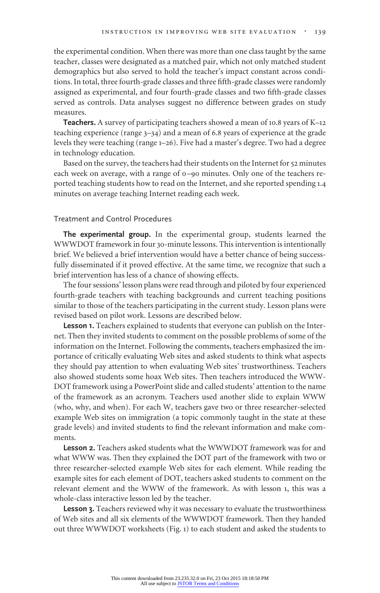the experimental condition. When there was more than one class taught by the same teacher, classes were designated as a matched pair, which not only matched student demographics but also served to hold the teacher's impact constant across conditions. In total, three fourth-grade classes and three fifth-grade classes were randomly assigned as experimental, and four fourth-grade classes and two fifth-grade classes served as controls. Data analyses suggest no difference between grades on study measures.

**Teachers.** A survey of participating teachers showed a mean of 10.8 years of K–12 teaching experience (range 3–34) and a mean of 6.8 years of experience at the grade levels they were teaching (range 1–26). Five had a master's degree. Two had a degree in technology education.

Based on the survey, the teachers had their students on the Internet for 52 minutes each week on average, with a range of 0–90 minutes. Only one of the teachers reported teaching students how to read on the Internet, and she reported spending 1.4 minutes on average teaching Internet reading each week.

## Treatment and Control Procedures

**The experimental group.** In the experimental group, students learned the WWWDOT framework in four 30-minute lessons. This intervention is intentionally brief. We believed a brief intervention would have a better chance of being successfully disseminated if it proved effective. At the same time, we recognize that such a brief intervention has less of a chance of showing effects.

The four sessions' lesson plans were read through and piloted by four experienced fourth-grade teachers with teaching backgrounds and current teaching positions similar to those of the teachers participating in the current study. Lesson plans were revised based on pilot work. Lessons are described below.

**Lesson 1.** Teachers explained to students that everyone can publish on the Internet. Then they invited students to comment on the possible problems of some of the information on the Internet. Following the comments, teachers emphasized the importance of critically evaluating Web sites and asked students to think what aspects they should pay attention to when evaluating Web sites' trustworthiness. Teachers also showed students some hoax Web sites. Then teachers introduced the WWW-DOT framework using a PowerPoint slide and called students' attention to the name of the framework as an acronym. Teachers used another slide to explain WWW (who, why, and when). For each W, teachers gave two or three researcher-selected example Web sites on immigration (a topic commonly taught in the state at these grade levels) and invited students to find the relevant information and make comments.

**Lesson 2.** Teachers asked students what the WWWDOT framework was for and what WWW was. Then they explained the DOT part of the framework with two or three researcher-selected example Web sites for each element. While reading the example sites for each element of DOT, teachers asked students to comment on the relevant element and the WWW of the framework. As with lesson 1, this was a whole-class interactive lesson led by the teacher.

**Lesson 3.** Teachers reviewed why it was necessary to evaluate the trustworthiness of Web sites and all six elements of the WWWDOT framework. Then they handed out three WWWDOT worksheets (Fig. 1) to each student and asked the students to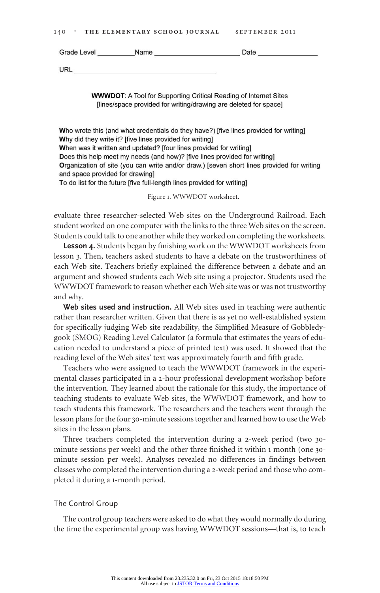| 140 | THE ELEMENTARY SCHOOL JOURNAL |  | SEPTEMBER 2011 |  |
|-----|-------------------------------|--|----------------|--|
|     |                               |  |                |  |

| Grade Level         | Name | Doto |  |  |
|---------------------|------|------|--|--|
| 11PI<br><u>UIJL</u> |      |      |  |  |

**WWWDOT:** A Tool for Supporting Critical Reading of Internet Sites [lines/space provided for writing/drawing are deleted for space]

Who wrote this (and what credentials do they have?) [five lines provided for writing] Why did they write it? [five lines provided for writing] When was it written and updated? [four lines provided for writing] Does this help meet my needs (and how)? [five lines provided for writing] Organization of site (you can write and/or draw.) [seven short lines provided for writing and space provided for drawing] To do list for the future [five full-length lines provided for writing]

Figure 1. WWWDOT worksheet.

evaluate three researcher-selected Web sites on the Underground Railroad. Each student worked on one computer with the links to the three Web sites on the screen. Students could talk to one another while they worked on completing the worksheets.

**Lesson 4.** Students began by finishing work on the WWWDOT worksheets from lesson 3. Then, teachers asked students to have a debate on the trustworthiness of each Web site. Teachers briefly explained the difference between a debate and an argument and showed students each Web site using a projector. Students used the WWWDOT framework to reason whether each Web site was or was not trustworthy and why.

**Web sites used and instruction.** All Web sites used in teaching were authentic rather than researcher written. Given that there is as yet no well-established system for specifically judging Web site readability, the Simplified Measure of Gobbledygook (SMOG) Reading Level Calculator (a formula that estimates the years of education needed to understand a piece of printed text) was used. It showed that the reading level of the Web sites' text was approximately fourth and fifth grade.

Teachers who were assigned to teach the WWWDOT framework in the experimental classes participated in a 2-hour professional development workshop before the intervention. They learned about the rationale for this study, the importance of teaching students to evaluate Web sites, the WWWDOT framework, and how to teach students this framework. The researchers and the teachers went through the lesson plans for the four 30-minute sessions together and learned how to use the Web sites in the lesson plans.

Three teachers completed the intervention during a 2-week period (two 30 minute sessions per week) and the other three finished it within 1 month (one 30 minute session per week). Analyses revealed no differences in findings between classes who completed the intervention during a 2-week period and those who completed it during a 1-month period.

## The Control Group

The control group teachers were asked to do what they would normally do during the time the experimental group was having WWWDOT sessions—that is, to teach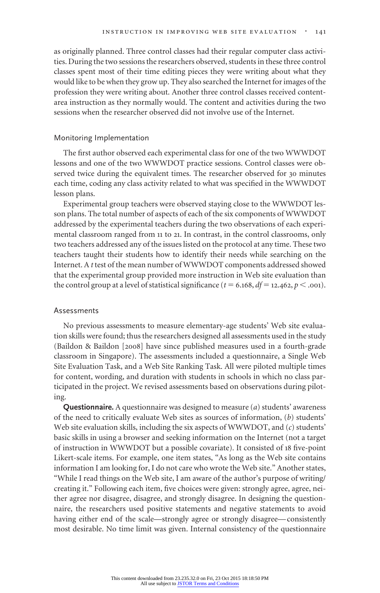as originally planned. Three control classes had their regular computer class activities. During the two sessions the researchers observed, students in these three control classes spent most of their time editing pieces they were writing about what they would like to be when they grow up. They also searched the Internet for images of the profession they were writing about. Another three control classes received contentarea instruction as they normally would. The content and activities during the two sessions when the researcher observed did not involve use of the Internet.

#### Monitoring Implementation

The first author observed each experimental class for one of the two WWWDOT lessons and one of the two WWWDOT practice sessions. Control classes were observed twice during the equivalent times. The researcher observed for 30 minutes each time, coding any class activity related to what was specified in the WWWDOT lesson plans.

Experimental group teachers were observed staying close to the WWWDOT lesson plans. The total number of aspects of each of the six components of WWWDOT addressed by the experimental teachers during the two observations of each experimental classroom ranged from 11 to 21. In contrast, in the control classrooms, only two teachers addressed any of the issues listed on the protocol at any time. These two teachers taught their students how to identify their needs while searching on the Internet. A *t* test of the mean number of WWWDOT components addressed showed that the experimental group provided more instruction in Web site evaluation than the control group at a level of statistical significance ( $t = 6.168$ ,  $df = 12.462$ ,  $p < .001$ ).

#### Assessments

No previous assessments to measure elementary-age students' Web site evaluation skills were found; thus the researchers designed all assessments used in the study (Baildon & Baildon [2008] have since published measures used in a fourth-grade classroom in Singapore). The assessments included a questionnaire, a Single Web Site Evaluation Task, and a Web Site Ranking Task. All were piloted multiple times for content, wording, and duration with students in schools in which no class participated in the project. We revised assessments based on observations during piloting.

**Questionnaire.** A questionnaire was designed to measure (*a*) students' awareness of the need to critically evaluate Web sites as sources of information, (*b*) students' Web site evaluation skills, including the six aspects of WWWDOT, and (*c*) students' basic skills in using a browser and seeking information on the Internet (not a target of instruction in WWWDOT but a possible covariate). It consisted of 18 five-point Likert-scale items. For example, one item states, "As long as the Web site contains information I am looking for, I do not care who wrote the Web site." Another states, "While I read things on the Web site, I am aware of the author's purpose of writing/ creating it." Following each item, five choices were given: strongly agree, agree, neither agree nor disagree, disagree, and strongly disagree. In designing the questionnaire, the researchers used positive statements and negative statements to avoid having either end of the scale—strongly agree or strongly disagree— consistently most desirable. No time limit was given. Internal consistency of the questionnaire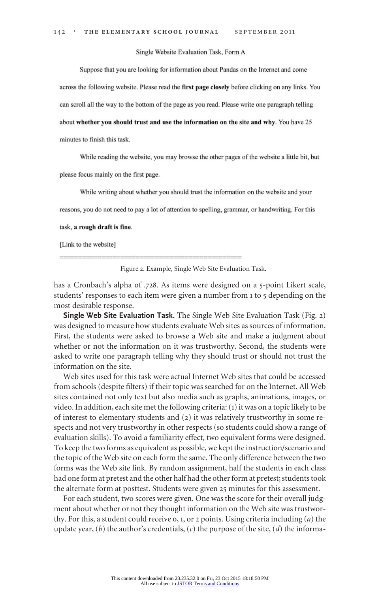Single Website Evaluation Task, Form A

Suppose that you are looking for information about Pandas on the Internet and come

across the following website. Please read the first page closely before clicking on any links. You

can scroll all the way to the bottom of the page as you read. Please write one paragraph telling

about whether you should trust and use the information on the site and why. You have 25

minutes to finish this task.

While reading the website, you may browse the other pages of the website a little bit, but

please focus mainly on the first page.

While writing about whether you should trust the information on the website and your

reasons, you do not need to pay a lot of attention to spelling, grammar, or handwriting. For this

#### task, a rough draft is fine.

[Link to the website]

Figure 2. Example, Single Web Site Evaluation Task.

has a Cronbach's alpha of .728. As items were designed on a 5-point Likert scale, students' responses to each item were given a number from 1 to 5 depending on the most desirable response.

**Single Web Site Evaluation Task.** The Single Web Site Evaluation Task (Fig. 2) was designed to measure how students evaluate Web sites as sources of information. First, the students were asked to browse a Web site and make a judgment about whether or not the information on it was trustworthy. Second, the students were asked to write one paragraph telling why they should trust or should not trust the information on the site.

Web sites used for this task were actual Internet Web sites that could be accessed from schools (despite filters) if their topic was searched for on the Internet. All Web sites contained not only text but also media such as graphs, animations, images, or video. In addition, each site met the following criteria: (1) it was on a topic likely to be of interest to elementary students and (2) it was relatively trustworthy in some respects and not very trustworthy in other respects (so students could show a range of evaluation skills). To avoid a familiarity effect, two equivalent forms were designed. To keep the two forms as equivalent as possible, we kept the instruction/scenario and the topic of the Web site on each form the same. The only difference between the two forms was the Web site link. By random assignment, half the students in each class had one form at pretest and the other half had the other form at pretest; students took the alternate form at posttest. Students were given 25 minutes for this assessment.

For each student, two scores were given. One was the score for their overall judgment about whether or not they thought information on the Web site was trustworthy. For this, a student could receive 0, 1, or 2 points. Using criteria including (*a*) the update year, (*b*) the author's credentials, (*c*) the purpose of the site, (*d*) the informa-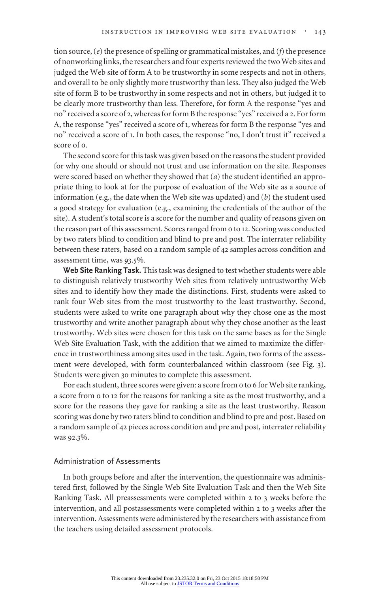tion source, (*e*) the presence of spelling or grammatical mistakes, and (*f*) the presence of nonworking links, the researchers and four experts reviewed the two Web sites and judged the Web site of form A to be trustworthy in some respects and not in others, and overall to be only slightly more trustworthy than less. They also judged the Web site of form B to be trustworthy in some respects and not in others, but judged it to be clearly more trustworthy than less. Therefore, for form A the response "yes and no" received a score of 2, whereas for form B the response "yes" received a 2. For form A, the response "yes" received a score of 1, whereas for form B the response "yes and no" received a score of 1. In both cases, the response "no, I don't trust it" received a score of 0.

The second score for this task was given based on the reasons the student provided for why one should or should not trust and use information on the site. Responses were scored based on whether they showed that (*a*) the student identified an appropriate thing to look at for the purpose of evaluation of the Web site as a source of information (e.g., the date when the Web site was updated) and (*b*) the student used a good strategy for evaluation (e.g., examining the credentials of the author of the site). A student's total score is a score for the number and quality of reasons given on the reason part of this assessment. Scores ranged from 0 to 12. Scoring was conducted by two raters blind to condition and blind to pre and post. The interrater reliability between these raters, based on a random sample of 42 samples across condition and assessment time, was 93.5%.

**Web Site Ranking Task.** This task was designed to test whether students were able to distinguish relatively trustworthy Web sites from relatively untrustworthy Web sites and to identify how they made the distinctions. First, students were asked to rank four Web sites from the most trustworthy to the least trustworthy. Second, students were asked to write one paragraph about why they chose one as the most trustworthy and write another paragraph about why they chose another as the least trustworthy. Web sites were chosen for this task on the same bases as for the Single Web Site Evaluation Task, with the addition that we aimed to maximize the difference in trustworthiness among sites used in the task. Again, two forms of the assessment were developed, with form counterbalanced within classroom (see Fig. 3). Students were given 30 minutes to complete this assessment.

For each student, three scores were given: a score from 0 to 6 for Web site ranking, a score from 0 to 12 for the reasons for ranking a site as the most trustworthy, and a score for the reasons they gave for ranking a site as the least trustworthy. Reason scoring was done by two raters blind to condition and blind to pre and post. Based on a random sample of 42 pieces across condition and pre and post, interrater reliability was 92.3%.

## Administration of Assessments

In both groups before and after the intervention, the questionnaire was administered first, followed by the Single Web Site Evaluation Task and then the Web Site Ranking Task. All preassessments were completed within 2 to 3 weeks before the intervention, and all postassessments were completed within 2 to 3 weeks after the intervention. Assessments were administered by the researchers with assistance from the teachers using detailed assessment protocols.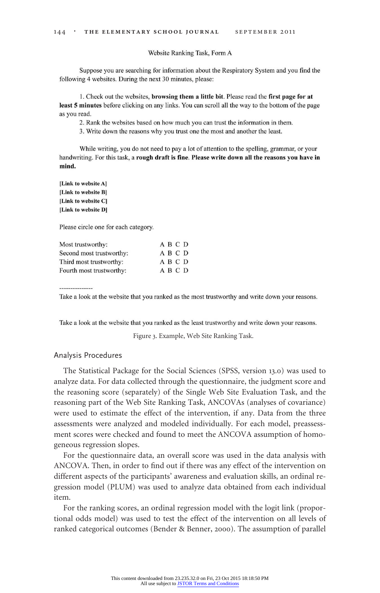#### Website Ranking Task, Form A

Suppose you are searching for information about the Respiratory System and you find the following 4 websites. During the next 30 minutes, please:

1. Check out the websites, **browsing them a little bit**. Please read the first page for at least 5 minutes before clicking on any links. You can scroll all the way to the bottom of the page as you read.

2. Rank the websites based on how much you can trust the information in them.

3. Write down the reasons why you trust one the most and another the least.

While writing, you do not need to pay a lot of attention to the spelling, grammar, or your handwriting. For this task, a rough draft is fine. Please write down all the reasons you have in mind.

[Link to website A] [Link to website B] [Link to website C] [Link to website D]

Please circle one for each category.

| Most trustworthy:        | A B C D |
|--------------------------|---------|
| Second most trustworthy: | A B C D |
| Third most trustworthy:  | A B C D |
| Fourth most trustworthy: | A B C D |

Take a look at the website that you ranked as the most trustworthy and write down your reasons.

Take a look at the website that you ranked as the least trustworthy and write down your reasons.

Figure 3. Example, Web Site Ranking Task.

## Analysis Procedures

The Statistical Package for the Social Sciences (SPSS, version 13.0) was used to analyze data. For data collected through the questionnaire, the judgment score and the reasoning score (separately) of the Single Web Site Evaluation Task, and the reasoning part of the Web Site Ranking Task, ANCOVAs (analyses of covariance) were used to estimate the effect of the intervention, if any. Data from the three assessments were analyzed and modeled individually. For each model, preassessment scores were checked and found to meet the ANCOVA assumption of homogeneous regression slopes.

For the questionnaire data, an overall score was used in the data analysis with ANCOVA. Then, in order to find out if there was any effect of the intervention on different aspects of the participants' awareness and evaluation skills, an ordinal regression model (PLUM) was used to analyze data obtained from each individual item.

For the ranking scores, an ordinal regression model with the logit link (proportional odds model) was used to test the effect of the intervention on all levels of ranked categorical outcomes (Bender & Benner, 2000). The assumption of parallel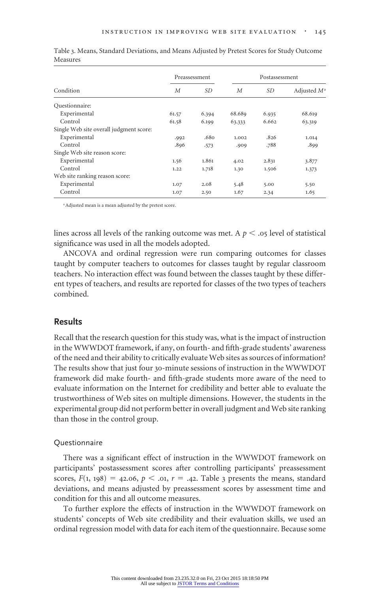|                                         | Preassessment |           | Postassessment |           |                |
|-----------------------------------------|---------------|-----------|----------------|-----------|----------------|
| Condition                               | М             | <i>SD</i> | M              | <i>SD</i> | Adjusted $M^a$ |
| Questionnaire:                          |               |           |                |           |                |
| Experimental                            | 61.57         | 6.394     | 68.689         | 6.935     | 68.619         |
| Control                                 | 61.58         | 6.199     | 63.333         | 6.662     | 63.319         |
| Single Web site overall judgment score: |               |           |                |           |                |
| Experimental                            | .992          | .680      | 1.002          | .826      | 1.014          |
| Control                                 | .896          | .573      | .909           | .788      | .899           |
| Single Web site reason score:           |               |           |                |           |                |
| Experimental                            | 1.56          | 1.861     | 4.02           | 2.831     | 3.877          |
| Control                                 | 1.22          | 1.718     | 1.30           | 1.506     | 1.373          |
| Web site ranking reason score:          |               |           |                |           |                |
| Experimental                            | 1.07          | 2.08      | 5.48           | 5.00      | 5.50           |
| Control                                 | 1.07          | 2.50      | 1.67           | 2.34      | 1.65           |

Table 3. Means, Standard Deviations, and Means Adjusted by Pretest Scores for Study Outcome Measures

<sup>a</sup> Adjusted mean is a mean adjusted by the pretest score.

lines across all levels of the ranking outcome was met. A  $p<.$ o5 level of statistical significance was used in all the models adopted.

ANCOVA and ordinal regression were run comparing outcomes for classes taught by computer teachers to outcomes for classes taught by regular classroom teachers. No interaction effect was found between the classes taught by these different types of teachers, and results are reported for classes of the two types of teachers combined.

## **Results**

Recall that the research question for this study was, what is the impact of instruction in the WWWDOT framework, if any, on fourth- and fifth-grade students' awareness of the need and their ability to critically evaluate Web sites as sources of information? The results show that just four 30-minute sessions of instruction in the WWWDOT framework did make fourth- and fifth-grade students more aware of the need to evaluate information on the Internet for credibility and better able to evaluate the trustworthiness of Web sites on multiple dimensions. However, the students in the experimental group did not perform better in overall judgment and Web site ranking than those in the control group.

## Questionnaire

There was a significant effect of instruction in the WWWDOT framework on participants' postassessment scores after controlling participants' preassessment scores,  $F(1, 198) = 42.06$ ,  $p < .01$ ,  $r = .42$ . Table 3 presents the means, standard deviations, and means adjusted by preassessment scores by assessment time and condition for this and all outcome measures.

To further explore the effects of instruction in the WWWDOT framework on students' concepts of Web site credibility and their evaluation skills, we used an ordinal regression model with data for each item of the questionnaire. Because some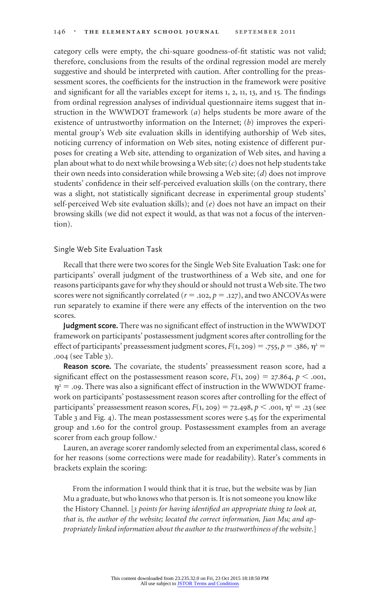category cells were empty, the chi-square goodness-of-fit statistic was not valid; therefore, conclusions from the results of the ordinal regression model are merely suggestive and should be interpreted with caution. After controlling for the preassessment scores, the coefficients for the instruction in the framework were positive and significant for all the variables except for items 1, 2, 11, 13, and 15. The findings from ordinal regression analyses of individual questionnaire items suggest that instruction in the WWWDOT framework (*a*) helps students be more aware of the existence of untrustworthy information on the Internet; (*b*) improves the experimental group's Web site evaluation skills in identifying authorship of Web sites, noticing currency of information on Web sites, noting existence of different purposes for creating a Web site, attending to organization of Web sites, and having a plan about what to do next while browsing a Web site; (*c*) does not help students take their own needs into consideration while browsing a Web site; (*d*) does not improve students' confidence in their self-perceived evaluation skills (on the contrary, there was a slight, not statistically significant decrease in experimental group students' self-perceived Web site evaluation skills); and (*e*) does not have an impact on their browsing skills (we did not expect it would, as that was not a focus of the intervention).

## Single Web Site Evaluation Task

Recall that there were two scores for the Single Web Site Evaluation Task: one for participants' overall judgment of the trustworthiness of a Web site, and one for reasons participants gave for why they should or should not trust a Web site. The two scores were not significantly correlated ( $r = .102$ ,  $p = .127$ ), and two ANCOVAs were run separately to examine if there were any effects of the intervention on the two scores.

**Judgment score.** There was no significant effect of instruction in the WWWDOT framework on participants' postassessment judgment scores after controlling for the effect of participants' preassessment judgment scores,  $F(1, 209) = .755$ ,  $p = .386$ ,  $\eta^2 =$ .004 (see Table 3).

**Reason score.** The covariate, the students' preassessment reason score, had a significant effect on the postassessment reason score,  $F(1, 209) = 27.864$ ,  $p < .001$ ,  $\eta^2$  = .09. There was also a significant effect of instruction in the WWWDOT framework on participants' postassessment reason scores after controlling for the effect of participants' preassessment reason scores,  $F(1, 209) = 72.498$ ,  $p < .001$ ,  $\eta^2 = .23$  (see Table 3 and Fig. 4). The mean postassessment scores were 5.45 for the experimental group and 1.60 for the control group. Postassessment examples from an average scorer from each group follow.<sup>1</sup>

Lauren, an average scorer randomly selected from an experimental class, scored 6 for her reasons (some corrections were made for readability). Rater's comments in brackets explain the scoring:

From the information I would think that it is true, but the website was by Jian Mu a graduate, but who knows who that person is. It is not someone you know like the History Channel. [*3 points for having identified an appropriate thing to look at, that is, the author of the website; located the correct information, Jian Mu; and appropriately linked information about the author to the trustworthiness of the website*.]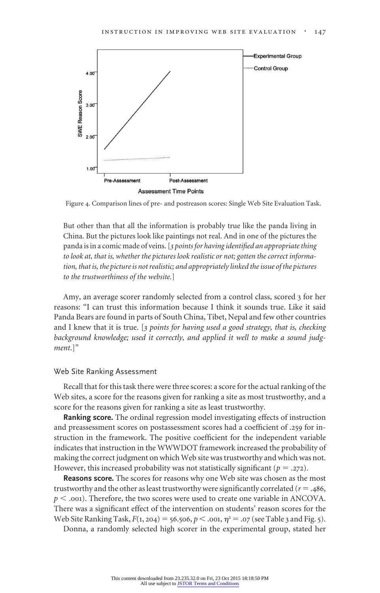

Figure 4. Comparison lines of pre- and postreason scores: Single Web Site Evaluation Task.

But other than that all the information is probably true like the panda living in China. But the pictures look like paintings not real. And in one of the pictures the panda is in a comic made of veins. [*3 points for having identified an appropriate thing to look at, that is, whether the pictures look realistic or not; gotten the correct information, that is, the picture is not realistic; and appropriately linked the issue of the pictures to the trustworthiness of the website.*]

Amy, an average scorer randomly selected from a control class, scored 3 for her reasons: "I can trust this information because I think it sounds true. Like it said Panda Bears are found in parts of South China, Tibet, Nepal and few other countries and I knew that it is true. [*3 points for having used a good strategy, that is, checking background knowledge; used it correctly, and applied it well to make a sound judgment*.]"

#### Web Site Ranking Assessment

Recall that for this task there were three scores: a score for the actual ranking of the Web sites, a score for the reasons given for ranking a site as most trustworthy, and a score for the reasons given for ranking a site as least trustworthy.

**Ranking score.** The ordinal regression model investigating effects of instruction and preassessment scores on postassessment scores had a coefficient of .259 for instruction in the framework. The positive coefficient for the independent variable indicates that instruction in the WWWDOT framework increased the probability of making the correct judgment on which Web site was trustworthy and which was not. However, this increased probability was not statistically significant ( $p = .272$ ).

**Reasons score.** The scores for reasons why one Web site was chosen as the most trustworthy and the other as least trustworthy were significantly correlated ( $r = .486$ ,  $p <$  .001). Therefore, the two scores were used to create one variable in ANCOVA. There was a significant effect of the intervention on students' reason scores for the Web Site Ranking Task,  $F(1, 204) = 56.506$ ,  $p < .001$ ,  $\eta^2 = .07$  (see Table 3 and Fig. 5).

Donna, a randomly selected high scorer in the experimental group, stated her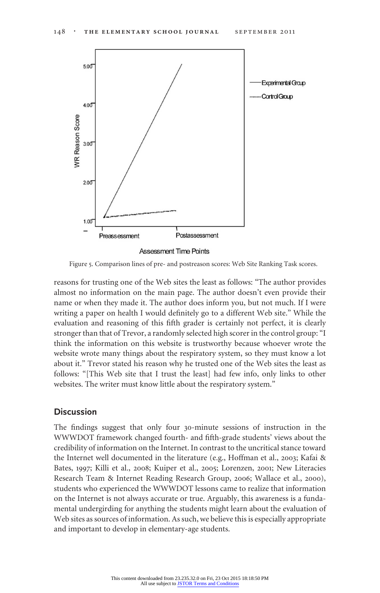

Figure 5. Comparison lines of pre- and postreason scores: Web Site Ranking Task scores.

reasons for trusting one of the Web sites the least as follows: "The author provides almost no information on the main page. The author doesn't even provide their name or when they made it. The author does inform you, but not much. If I were writing a paper on health I would definitely go to a different Web site." While the evaluation and reasoning of this fifth grader is certainly not perfect, it is clearly stronger than that of Trevor, a randomly selected high scorer in the control group: "I think the information on this website is trustworthy because whoever wrote the website wrote many things about the respiratory system, so they must know a lot about it." Trevor stated his reason why he trusted one of the Web sites the least as follows: "[This Web site that I trust the least] had few info, only links to other websites. The writer must know little about the respiratory system."

# **Discussion**

The findings suggest that only four 30-minute sessions of instruction in the WWWDOT framework changed fourth- and fifth-grade students' views about the credibility of information on the Internet. In contrast to the uncritical stance toward the Internet well documented in the literature (e.g., Hoffman et al., 2003; Kafai & Bates, 1997; Killi et al., 2008; Kuiper et al., 2005; Lorenzen, 2001; New Literacies Research Team & Internet Reading Research Group, 2006; Wallace et al., 2000), students who experienced the WWWDOT lessons came to realize that information on the Internet is not always accurate or true. Arguably, this awareness is a fundamental undergirding for anything the students might learn about the evaluation of Web sites as sources of information. As such, we believe this is especially appropriate and important to develop in elementary-age students.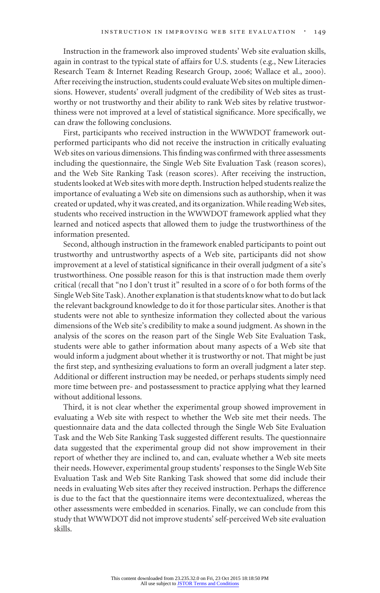Instruction in the framework also improved students' Web site evaluation skills, again in contrast to the typical state of affairs for U.S. students (e.g., New Literacies Research Team & Internet Reading Research Group, 2006; Wallace et al., 2000). After receiving the instruction, students could evaluate Web sites on multiple dimensions. However, students' overall judgment of the credibility of Web sites as trustworthy or not trustworthy and their ability to rank Web sites by relative trustworthiness were not improved at a level of statistical significance. More specifically, we can draw the following conclusions.

First, participants who received instruction in the WWWDOT framework outperformed participants who did not receive the instruction in critically evaluating Web sites on various dimensions. This finding was confirmed with three assessments including the questionnaire, the Single Web Site Evaluation Task (reason scores), and the Web Site Ranking Task (reason scores). After receiving the instruction, students looked at Web sites with more depth. Instruction helped students realize the importance of evaluating a Web site on dimensions such as authorship, when it was created or updated, why it was created, and its organization. While reading Web sites, students who received instruction in the WWWDOT framework applied what they learned and noticed aspects that allowed them to judge the trustworthiness of the information presented.

Second, although instruction in the framework enabled participants to point out trustworthy and untrustworthy aspects of a Web site, participants did not show improvement at a level of statistical significance in their overall judgment of a site's trustworthiness. One possible reason for this is that instruction made them overly critical (recall that "no I don't trust it" resulted in a score of 0 for both forms of the Single Web Site Task). Another explanation is that students know what to do but lack the relevant background knowledge to do it for those particular sites. Another is that students were not able to synthesize information they collected about the various dimensions of the Web site's credibility to make a sound judgment. As shown in the analysis of the scores on the reason part of the Single Web Site Evaluation Task, students were able to gather information about many aspects of a Web site that would inform a judgment about whether it is trustworthy or not. That might be just the first step, and synthesizing evaluations to form an overall judgment a later step. Additional or different instruction may be needed, or perhaps students simply need more time between pre- and postassessment to practice applying what they learned without additional lessons.

Third, it is not clear whether the experimental group showed improvement in evaluating a Web site with respect to whether the Web site met their needs. The questionnaire data and the data collected through the Single Web Site Evaluation Task and the Web Site Ranking Task suggested different results. The questionnaire data suggested that the experimental group did not show improvement in their report of whether they are inclined to, and can, evaluate whether a Web site meets their needs. However, experimental group students' responses to the Single Web Site Evaluation Task and Web Site Ranking Task showed that some did include their needs in evaluating Web sites after they received instruction. Perhaps the difference is due to the fact that the questionnaire items were decontextualized, whereas the other assessments were embedded in scenarios. Finally, we can conclude from this study that WWWDOT did not improve students' self-perceived Web site evaluation skills.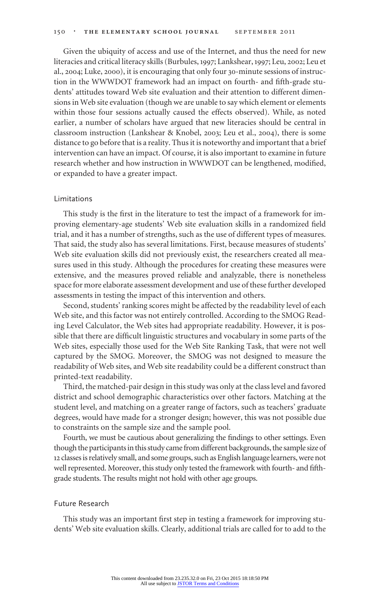Given the ubiquity of access and use of the Internet, and thus the need for new literacies and critical literacy skills (Burbules, 1997; Lankshear, 1997; Leu, 2002; Leu et al., 2004; Luke, 2000), it is encouraging that only four 30-minute sessions of instruction in the WWWDOT framework had an impact on fourth- and fifth-grade students' attitudes toward Web site evaluation and their attention to different dimensions in Web site evaluation (though we are unable to say which element or elements within those four sessions actually caused the effects observed). While, as noted earlier, a number of scholars have argued that new literacies should be central in classroom instruction (Lankshear & Knobel, 2003; Leu et al., 2004), there is some distance to go before that is a reality. Thus it is noteworthy and important that a brief intervention can have an impact. Of course, it is also important to examine in future research whether and how instruction in WWWDOT can be lengthened, modified, or expanded to have a greater impact.

#### Limitations

This study is the first in the literature to test the impact of a framework for improving elementary-age students' Web site evaluation skills in a randomized field trial, and it has a number of strengths, such as the use of different types of measures. That said, the study also has several limitations. First, because measures of students' Web site evaluation skills did not previously exist, the researchers created all measures used in this study. Although the procedures for creating these measures were extensive, and the measures proved reliable and analyzable, there is nonetheless space for more elaborate assessment development and use of these further developed assessments in testing the impact of this intervention and others.

Second, students' ranking scores might be affected by the readability level of each Web site, and this factor was not entirely controlled. According to the SMOG Reading Level Calculator, the Web sites had appropriate readability. However, it is possible that there are difficult linguistic structures and vocabulary in some parts of the Web sites, especially those used for the Web Site Ranking Task, that were not well captured by the SMOG. Moreover, the SMOG was not designed to measure the readability of Web sites, and Web site readability could be a different construct than printed-text readability.

Third, the matched-pair design in this study was only at the class level and favored district and school demographic characteristics over other factors. Matching at the student level, and matching on a greater range of factors, such as teachers' graduate degrees, would have made for a stronger design; however, this was not possible due to constraints on the sample size and the sample pool.

Fourth, we must be cautious about generalizing the findings to other settings. Even though the participants in this study came from different backgrounds, the sample size of 12 classes is relatively small, and some groups, such as English language learners, were not well represented. Moreover, this study only tested the framework with fourth- and fifthgrade students. The results might not hold with other age groups.

#### Future Research

This study was an important first step in testing a framework for improving students' Web site evaluation skills. Clearly, additional trials are called for to add to the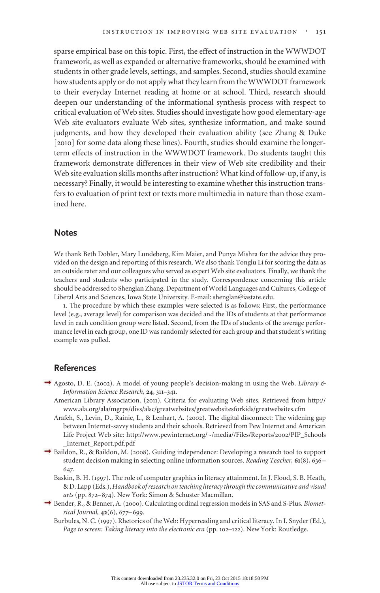sparse empirical base on this topic. First, the effect of instruction in the WWWDOT framework, as well as expanded or alternative frameworks, should be examined with students in other grade levels, settings, and samples. Second, studies should examine how students apply or do not apply what they learn from the WWWDOT framework to their everyday Internet reading at home or at school. Third, research should deepen our understanding of the informational synthesis process with respect to critical evaluation of Web sites. Studies should investigate how good elementary-age Web site evaluators evaluate Web sites, synthesize information, and make sound judgments, and how they developed their evaluation ability (see Zhang & Duke [2010] for some data along these lines). Fourth, studies should examine the longerterm effects of instruction in the WWWDOT framework. Do students taught this framework demonstrate differences in their view of Web site credibility and their Web site evaluation skills months after instruction? What kind of follow-up, if any, is necessary? Finally, it would be interesting to examine whether this instruction transfers to evaluation of print text or texts more multimedia in nature than those examined here.

## **Notes**

We thank Beth Dobler, Mary Lundeberg, Kim Maier, and Punya Mishra for the advice they provided on the design and reporting of this research. We also thank Tonglu Li for scoring the data as an outside rater and our colleagues who served as expert Web site evaluators. Finally, we thank the teachers and students who participated in the study. Correspondence concerning this article should be addressed to Shenglan Zhang, Department of World Languages and Cultures, College of Liberal Arts and Sciences, Iowa State University. E-mail: shenglan@iastate.edu.

1. The procedure by which these examples were selected is as follows: First, the performance level (e.g., average level) for comparison was decided and the IDs of students at that performance level in each condition group were listed. Second, from the IDs of students of the average performance level in each group, one ID was randomly selected for each group and that student's writing example was pulled.

# **References**

- Agosto, D. E. (2002). A model of young people's decision-making in using the Web. *Library & Information Science Research,* **24**, 311–341.
	- American Library Association. (2011). Criteria for evaluating Web sites. Retrieved from http:// www.ala.org/ala/mgrps/divs/alsc/greatwebsites/greatwebsitesforkids/greatwebsites.cfm
	- Arafeh, S., Levin, D., Rainie, L., & Lenhart, A. (2002). The digital disconnect: The widening gap between Internet-savvy students and their schools. Retrieved from Pew Internet and American Life Project Web site: http://www.pewinternet.org/~/media//Files/Reports/2002/PIP\_Schools \_Internet\_Report.pdf.pdf
- Baildon, R., & Baildon, M. (2008). Guiding independence: Developing a research tool to support student decision making in selecting online information sources. *Reading Teacher,* **61**(8), 636– 647.
	- Baskin, B. H. (1997). The role of computer graphics in literacy attainment. In J. Flood, S. B. Heath, & D. Lapp (Eds.), *Handbook of research on teaching literacy through the communicative and visual arts* (pp. 872–874). New York: Simon & Schuster Macmillan.
- → Bender, R., & Benner, A. (2000). Calculating ordinal regression models in SAS and S-Plus. *Biometrical Journal,* **42**(6), 677–699.
	- Burbules, N. C. (1997). Rhetorics of the Web: Hyperreading and critical literacy. In I. Snyder (Ed.), *Page to screen: Taking literacy into the electronic era* (pp. 102–122). New York: Routledge.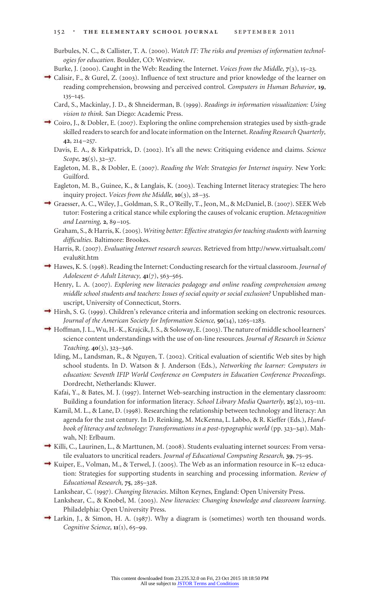Burbules, N. C., & Callister, T. A. (2000). *Watch IT: The risks and promises of information technologies for education*. Boulder, CO: Westview.

- Burke, J. (2000). Caught in the Web: Reading the Internet. *Voices from the Middle,* **7**(3), 15–23.
- Calisir, F., & Gurel, Z. (2003). Influence of text structure and prior knowledge of the learner on reading comprehension, browsing and perceived control. *Computers in Human Behavior,* **19**, 135–145.
	- Card, S., Mackinlay, J. D., & Shneiderman, B. (1999). *Readings in information visualization: Using vision to think.* San Diego: Academic Press.
- $\rightarrow$  Coiro, J., & Dobler, E. (2007). Exploring the online comprehension strategies used by sixth-grade skilled readers to search for and locate information on the Internet. *Reading Research Quarterly,* **42**, 214–257.
	- Davis, E. A., & Kirkpatrick, D. (2002). It's all the news: Critiquing evidence and claims. *Science Scope,* **25**(5), 32–37.
	- Eagleton, M. B., & Dobler, E. (2007). *Reading the Web: Strategies for Internet inquiry.* New York: Guilford.
	- Eagleton, M. B., Guinee, K., & Langlais, K. (2003). Teaching Internet literacy strategies: The hero inquiry project. *Voices from the Middle,* **10**(3), 28–35.
- Graesser, A. C., Wiley, J., Goldman, S. R., O'Reilly, T., Jeon, M., & McDaniel, B. (2007). SEEK Web tutor: Fostering a critical stance while exploring the causes of volcanic eruption. *Metacognition and Learning,* **2**, 89–105.
	- Graham, S., & Harris, K. (2005). *Writing better: Effective strategies for teaching students with learning difficulties*. Baltimore: Brookes.
	- Harris, R. (2007). *Evaluating Internet research sources*. Retrieved from http://www.virtualsalt.com/ evalu8it.htm
- $\rightarrow$  Hawes, K. S. (1998). Reading the Internet: Conducting research for the virtual classroom. *Journal of Adolescent & Adult Literacy,* **41**(7), 563–565.
	- Henry, L. A. (2007). *Exploring new literacies pedagogy and online reading comprehension among middle school students and teachers: Issues of social equity or social exclusion?* Unpublished manuscript, University of Connecticut, Storrs.
- Hirsh, S. G. (1999). Children's relevance criteria and information seeking on electronic resources. *Journal of the American Society for Information Science,* **50**(14), 1265–1283.
- $\rightarrow$  Hoffman, J. L., Wu, H.-K., Krajcik, J. S., & Soloway, E. (2003). The nature of middle school learners' science content understandings with the use of on-line resources. *Journal of Research in Science Teaching,* **40**(3), 323–346.
	- Iding, M., Landsman, R., & Nguyen, T. (2002). Critical evaluation of scientific Web sites by high school students. In D. Watson & J. Anderson (Eds.), *Networking the learner: Computers in education: Seventh IFIP World Conference on Computers in Education Conference Proceedings*. Dordrecht, Netherlands: Kluwer.
	- Kafai, Y., & Bates, M. J. (1997). Internet Web-searching instruction in the elementary classroom: Building a foundation for information literacy. *School Library Media Quarterly,* **25**(2), 103–111.
	- Kamil, M. L., & Lane, D. (1998). Researching the relationship between technology and literacy: An agenda for the 21st century. In D. Reinking, M. McKenna, L. Labbo, & R. Kieffer (Eds.), *Handbook of literacy and technology: Transformations in a post-typographic world* (pp.323–341). Mahwah, NJ: Erlbaum.
- Killi, C., Laurinen, L., & Marttunen, M. (2008). Students evaluating internet sources: From versatile evaluators to uncritical readers. *Journal of Educational Computing Research,* **39**, 75–95.
- Kuiper, E., Volman, M., & Terwel, J. (2005). The Web as an information resource in K–12 education: Strategies for supporting students in searching and processing information. *Review of Educational Research,* **75**, 285–328.
	- Lankshear, C. (1997). *Changing literacies*. Milton Keynes, England: Open University Press.
	- Lankshear, C., & Knobel, M. (2003). *New literacies: Changing knowledge and classroom learning*. Philadelphia: Open University Press.
- $\rightarrow$  Larkin, J., & Simon, H. A. (1987). Why a diagram is (sometimes) worth ten thousand words. *Cognitive Science,* **11**(1), 65–99.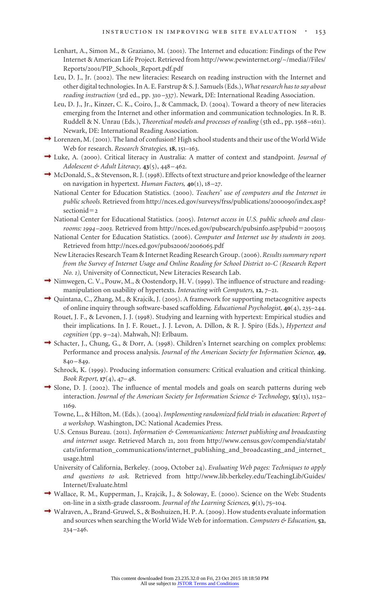- Lenhart, A., Simon M., & Graziano, M. (2001). The Internet and education: Findings of the Pew Internet & American Life Project. Retrieved from http://www.pewinternet.org/~/media//Files/ Reports/2001/PIP\_Schools\_Report.pdf.pdf
- Leu, D. J., Jr. (2002). The new literacies: Research on reading instruction with the Internet and other digital technologies. In A. E. Farstrup & S. J. Samuels (Eds.), *What research has to say about reading instruction* (3rd ed., pp. 310–337). Newark, DE: International Reading Association.
- Leu, D. J., Jr., Kinzer, C. K., Coiro, J., & Cammack, D. (2004). Toward a theory of new literacies emerging from the Internet and other information and communication technologies. In R. B. Ruddell & N. Unrau (Eds.), *Theoretical models and processes of reading* (5th ed., pp. 1568–1611). Newark, DE: International Reading Association.
- $\rightarrow$  Lorenzen, M. (2001). The land of confusion? High school students and their use of the World Wide Web for research. *Research Strategies,* **18**, 151–163.
- Luke, A. (2000). Critical literacy in Australia: A matter of context and standpoint. *Journal of Adolescent & Adult Literacy,* **43**(5), 448–462.
- $\rightarrow$  McDonald, S., & Stevenson, R. J. (1998). Effects of text structure and prior knowledge of the learner on navigation in hypertext. *Human Factors,* **40**(1), 18–27.
	- National Center for Education Statistics. (2000). *Teachers' use of computers and the Internet in public schools.* Retrieved from http://nces.ed.gov/surveys/frss/publications/2000090/index.asp? sectionid=2
	- National Center for Educational Statistics. (2005). *Internet access in U.S. public schools and classrooms: 1994*-2003. Retrieved from http://nces.ed.gov/pubsearch/pubsinfo.asp?pubid=2005015
	- National Center for Education Statistics. (2006). *Computer and Internet use by students in 2003.* Retrieved from http://nces.ed.gov/pubs2006/2006065.pdf
	- New Literacies Research Team & Internet Reading Research Group. (2006). *Results summary report from the Survey of Internet Usage and Online Reading for School District 10-C (Research Report No. 1),* University of Connecticut, New Literacies Research Lab.
- → Nimwegen, C. V., Pouw, M., & Oostendorp, H. V. (1999). The influence of structure and readingmanipulation on usability of hypertexts. *Interacting with Computers,* **12**, 7–21.
- $\rightarrow$  Quintana, C., Zhang, M., & Krajcik, J. (2005). A framework for supporting metacognitive aspects of online inquiry through software-based scaffolding. *Educational Psychologist,* **40**(4), 235–244. Rouet, J. F., & Levonen, J. J. (1998). Studying and learning with hypertext: Empirical studies and
	- their implications. In J. F. Rouet., J. J. Levon, A. Dillon, & R. J. Spiro (Eds.), *Hypertext and cognition* (pp. 9–24). Mahwah, NJ: Erlbaum.
- Schacter, J., Chung, G., & Dorr, A. (1998). Children's Internet searching on complex problems: Performance and process analysis. *Journal of the American Society for Information Science,* **49**, 840–849.
	- Schrock, K. (1999). Producing information consumers: Critical evaluation and critical thinking. *Book Report,* **17**(4), 47–48.
- Slone, D. J. (2002). The influence of mental models and goals on search patterns during web interaction. *Journal of the American Society for Information Science & Technology,* **53**(13), 1152– 1169.
	- Towne, L., & Hilton, M. (Eds.). (2004). *Implementing randomized field trials in education: Report of a workshop.* Washington, DC: National Academies Press.
	- U.S. Census Bureau. (2011). *Information & Communications: Internet publishing and broadcasting and internet usage*. Retrieved March 21, 2011 from http://www.census.gov/compendia/statab/ cats/information\_communications/internet\_publishing\_and\_broadcasting\_and\_internet\_ usage.html
	- University of California, Berkeley. (2009, October 24). *Evaluating Web pages: Techniques to apply and questions to ask.* Retrieved from http://www.lib.berkeley.edu/TeachingLib/Guides/ Internet/Evaluate.html
- Wallace, R. M., Kupperman, J., Krajcik, J., & Soloway, E. (2000). Science on the Web: Students on-line in a sixth-grade classroom. *Journal of the Learning Sciences,* **9**(1), 75–104.
- Walraven, A., Brand-Gruwel, S., & Boshuizen, H. P. A. (2009). How students evaluate information and sources when searching the World Wide Web for information. *Computers & Education,* **52**, 234–246.